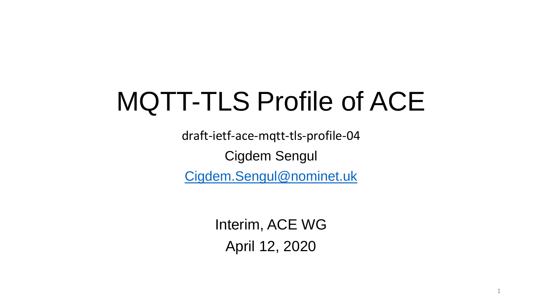# MQTT-TLS Profile of ACE

draft-ietf-ace-mqtt-tls-profile-04 Cigdem Sengul [Cigdem.Sengul@nominet.uk](mailto:Cigdem.Sengul@nominet.uk)

> Interim, ACE WG April 12, 2020

> > 1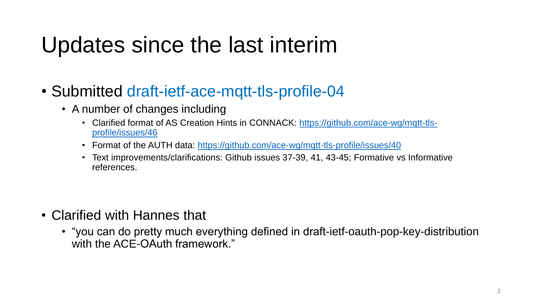## Updates since the last interim

- Submitted draft-ietf-ace-mqtt-tls-profile-04
	- A number of changes including
		- [Clarified format of AS Creation Hints in CONNACK: https://github.com/ace-wg/mqtt-tls](https://github.com/ace-wg/mqtt-tls-profile/issues/46)profile/issues/46
		- Format of the AUTH data: <https://github.com/ace-wg/mqtt-tls-profile/issues/40>
		- Text improvements/clarifications: Github issues 37-39, 41, 43-45; Formative vs Informative references.

- Clarified with Hannes that
	- "you can do pretty much everything defined in draft-ietf-oauth-pop-key-distribution with the ACE-OAuth framework."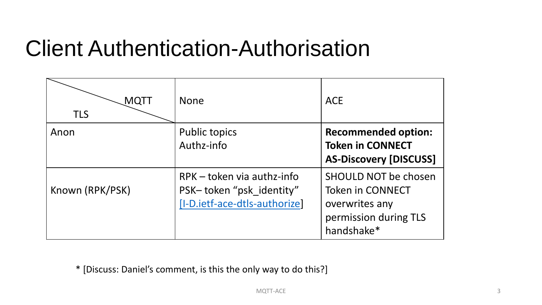### Client Authentication-Authorisation

| MQTT<br><b>TLS</b> | <b>None</b>                                                                               | <b>ACE</b>                                                                                                      |
|--------------------|-------------------------------------------------------------------------------------------|-----------------------------------------------------------------------------------------------------------------|
| Anon               | <b>Public topics</b><br>Authz-info                                                        | <b>Recommended option:</b><br><b>Token in CONNECT</b><br><b>AS-Discovery [DISCUSS]</b>                          |
| Known (RPK/PSK)    | $RPK$ – token via authz-info<br>PSK-token "psk_identity"<br>[I-D.ietf-ace-dtls-authorize] | <b>SHOULD NOT be chosen</b><br><b>Token in CONNECT</b><br>overwrites any<br>permission during TLS<br>handshake* |

\* [Discuss: Daniel's comment, is this the only way to do this?]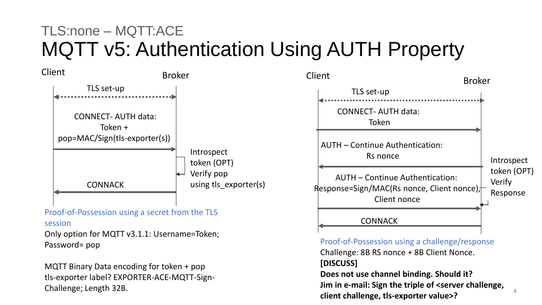### TLS:none – MQTT:ACE MQTT v5: Authentication Using AUTH Property

Introspect token (OPT) Verify pop using tls\_exporter(s) Client Broker TLS set-up CONNECT- AUTH data: Token + pop=MAC/Sign(tls-exporter(s)) **CONNACK** 

#### Proof-of-Possession using a secret from the TLS

session

Only option for MQTT v3.1.1: Username=Token; Password= pop

MQTT Binary Data encoding for token + pop tls-exporter label? EXPORTER-ACE-MQTT-Sign-Challenge; Length 32B.



Proof-of-Possession using a challenge/response Challenge: 8B RS nonce + 8B Client Nonce. **[DISCUSS]** 

**Does not use channel binding. Should it? Jim in e-mail: Sign the triple of <server challenge, client challenge, tls-exporter value>?**

4